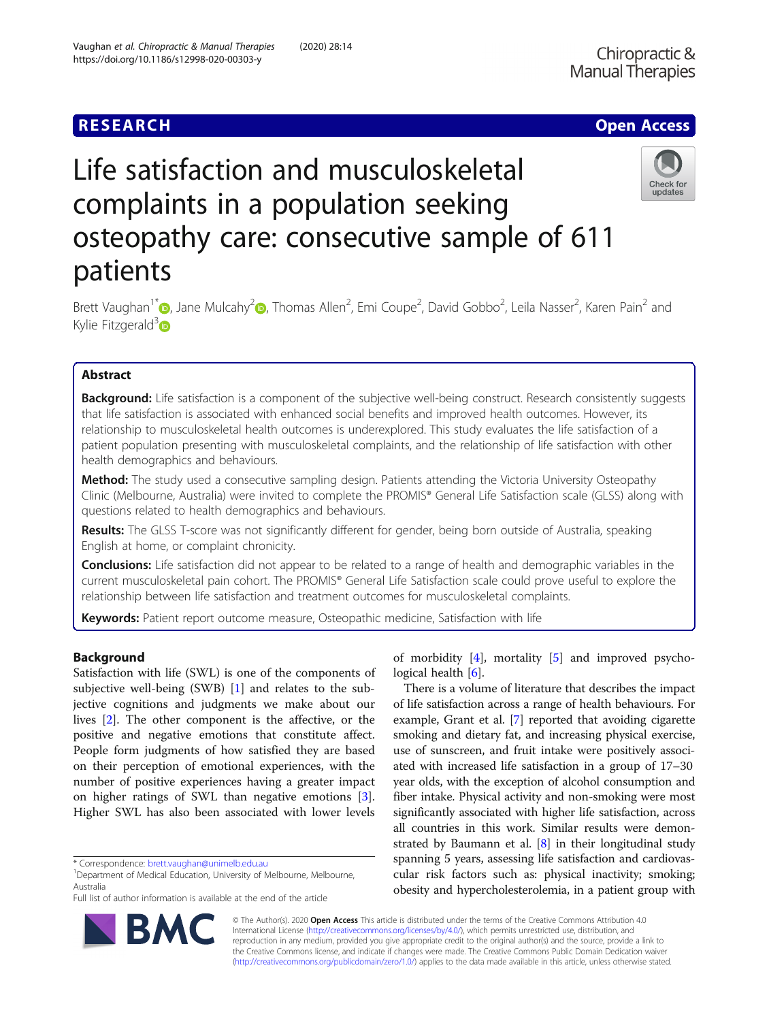## Check for updates

# Life satisfaction and musculoskeletal complaints in a population seeking osteopathy care: consecutive sample of 611 patients

Brett Vaughan<sup>1\*</sup> (D)[,](https://orcid.org/0000-0002-8623-4558) Jane Mulcahy<sup>[2](https://orcid.org/0000-0003-2370-5604)</sup> (D), Thomas Allen<sup>2</sup>, Emi Coupe<sup>2</sup>, David Gobbo<sup>2</sup>, Leila Nasser<sup>2</sup>, Karen Pain<sup>2</sup> and Kylie Fitzgerald $3\blacksquare$  $3\blacksquare$ 

### Abstract

**Background:** Life satisfaction is a component of the subjective well-being construct. Research consistently suggests that life satisfaction is associated with enhanced social benefits and improved health outcomes. However, its relationship to musculoskeletal health outcomes is underexplored. This study evaluates the life satisfaction of a patient population presenting with musculoskeletal complaints, and the relationship of life satisfaction with other health demographics and behaviours.

Method: The study used a consecutive sampling design. Patients attending the Victoria University Osteopathy Clinic (Melbourne, Australia) were invited to complete the PROMIS® General Life Satisfaction scale (GLSS) along with questions related to health demographics and behaviours.

Results: The GLSS T-score was not significantly different for gender, being born outside of Australia, speaking English at home, or complaint chronicity.

**Conclusions:** Life satisfaction did not appear to be related to a range of health and demographic variables in the current musculoskeletal pain cohort. The PROMIS® General Life Satisfaction scale could prove useful to explore the relationship between life satisfaction and treatment outcomes for musculoskeletal complaints.

Keywords: Patient report outcome measure, Osteopathic medicine, Satisfaction with life

#### Background

Satisfaction with life (SWL) is one of the components of subjective well-being (SWB) [[1](#page-6-0)] and relates to the subjective cognitions and judgments we make about our lives [\[2](#page-6-0)]. The other component is the affective, or the positive and negative emotions that constitute affect. People form judgments of how satisfied they are based on their perception of emotional experiences, with the number of positive experiences having a greater impact on higher ratings of SWL than negative emotions [\[3](#page-6-0)]. Higher SWL has also been associated with lower levels



There is a volume of literature that describes the impact of life satisfaction across a range of health behaviours. For example, Grant et al. [[7\]](#page-6-0) reported that avoiding cigarette smoking and dietary fat, and increasing physical exercise, use of sunscreen, and fruit intake were positively associated with increased life satisfaction in a group of 17–30 year olds, with the exception of alcohol consumption and fiber intake. Physical activity and non-smoking were most significantly associated with higher life satisfaction, across all countries in this work. Similar results were demonstrated by Baumann et al. [[8\]](#page-6-0) in their longitudinal study spanning 5 years, assessing life satisfaction and cardiovascular risk factors such as: physical inactivity; smoking; obesity and hypercholesterolemia, in a patient group with

© The Author(s). 2020 Open Access This article is distributed under the terms of the Creative Commons Attribution 4.0 International License [\(http://creativecommons.org/licenses/by/4.0/](http://creativecommons.org/licenses/by/4.0/)), which permits unrestricted use, distribution, and reproduction in any medium, provided you give appropriate credit to the original author(s) and the source, provide a link to the Creative Commons license, and indicate if changes were made. The Creative Commons Public Domain Dedication waiver [\(http://creativecommons.org/publicdomain/zero/1.0/](http://creativecommons.org/publicdomain/zero/1.0/)) applies to the data made available in this article, unless otherwise stated.



<sup>\*</sup> Correspondence: [brett.vaughan@unimelb.edu.au](mailto:brett.vaughan@unimelb.edu.au) <sup>1</sup>

<sup>&</sup>lt;sup>1</sup>Department of Medical Education, University of Melbourne, Melbourne, Australia

Full list of author information is available at the end of the article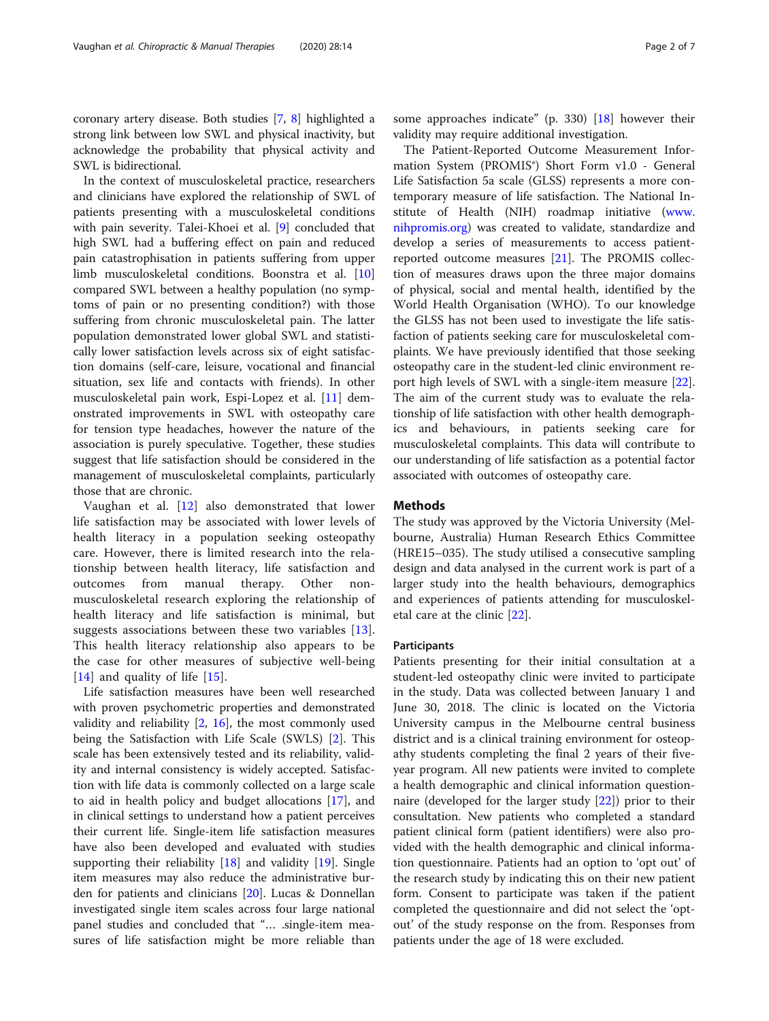coronary artery disease. Both studies [[7,](#page-6-0) [8](#page-6-0)] highlighted a strong link between low SWL and physical inactivity, but acknowledge the probability that physical activity and SWL is bidirectional.

In the context of musculoskeletal practice, researchers and clinicians have explored the relationship of SWL of patients presenting with a musculoskeletal conditions with pain severity. Talei-Khoei et al. [[9](#page-6-0)] concluded that high SWL had a buffering effect on pain and reduced pain catastrophisation in patients suffering from upper limb musculoskeletal conditions. Boonstra et al. [[10](#page-6-0)] compared SWL between a healthy population (no symptoms of pain or no presenting condition?) with those suffering from chronic musculoskeletal pain. The latter population demonstrated lower global SWL and statistically lower satisfaction levels across six of eight satisfaction domains (self-care, leisure, vocational and financial situation, sex life and contacts with friends). In other musculoskeletal pain work, Espi-Lopez et al. [[11\]](#page-6-0) demonstrated improvements in SWL with osteopathy care for tension type headaches, however the nature of the association is purely speculative. Together, these studies suggest that life satisfaction should be considered in the management of musculoskeletal complaints, particularly those that are chronic.

Vaughan et al. [\[12](#page-6-0)] also demonstrated that lower life satisfaction may be associated with lower levels of health literacy in a population seeking osteopathy care. However, there is limited research into the relationship between health literacy, life satisfaction and outcomes from manual therapy. Other nonmusculoskeletal research exploring the relationship of health literacy and life satisfaction is minimal, but suggests associations between these two variables [\[13](#page-6-0)]. This health literacy relationship also appears to be the case for other measures of subjective well-being [[14\]](#page-6-0) and quality of life [\[15](#page-6-0)].

Life satisfaction measures have been well researched with proven psychometric properties and demonstrated validity and reliability [[2,](#page-6-0) [16\]](#page-6-0), the most commonly used being the Satisfaction with Life Scale (SWLS) [[2\]](#page-6-0). This scale has been extensively tested and its reliability, validity and internal consistency is widely accepted. Satisfaction with life data is commonly collected on a large scale to aid in health policy and budget allocations [\[17](#page-6-0)], and in clinical settings to understand how a patient perceives their current life. Single-item life satisfaction measures have also been developed and evaluated with studies supporting their reliability  $[18]$  $[18]$  $[18]$  and validity  $[19]$  $[19]$  $[19]$ . Single item measures may also reduce the administrative burden for patients and clinicians [[20\]](#page-6-0). Lucas & Donnellan investigated single item scales across four large national panel studies and concluded that "… .single-item measures of life satisfaction might be more reliable than some approaches indicate" (p. 330) [[18\]](#page-6-0) however their validity may require additional investigation.

The Patient-Reported Outcome Measurement Information System (PROMIS®) Short Form v1.0 - General Life Satisfaction 5a scale (GLSS) represents a more contemporary measure of life satisfaction. The National Institute of Health (NIH) roadmap initiative ([www.](http://www.nihpromis.org) [nihpromis.org](http://www.nihpromis.org)) was created to validate, standardize and develop a series of measurements to access patientreported outcome measures [[21\]](#page-6-0). The PROMIS collection of measures draws upon the three major domains of physical, social and mental health, identified by the World Health Organisation (WHO). To our knowledge the GLSS has not been used to investigate the life satisfaction of patients seeking care for musculoskeletal complaints. We have previously identified that those seeking osteopathy care in the student-led clinic environment report high levels of SWL with a single-item measure [\[22](#page-6-0)]. The aim of the current study was to evaluate the relationship of life satisfaction with other health demographics and behaviours, in patients seeking care for musculoskeletal complaints. This data will contribute to our understanding of life satisfaction as a potential factor associated with outcomes of osteopathy care.

#### **Methods**

The study was approved by the Victoria University (Melbourne, Australia) Human Research Ethics Committee (HRE15–035). The study utilised a consecutive sampling design and data analysed in the current work is part of a larger study into the health behaviours, demographics and experiences of patients attending for musculoskeletal care at the clinic [\[22](#page-6-0)].

#### **Participants**

Patients presenting for their initial consultation at a student-led osteopathy clinic were invited to participate in the study. Data was collected between January 1 and June 30, 2018. The clinic is located on the Victoria University campus in the Melbourne central business district and is a clinical training environment for osteopathy students completing the final 2 years of their fiveyear program. All new patients were invited to complete a health demographic and clinical information questionnaire (developed for the larger study [[22\]](#page-6-0)) prior to their consultation. New patients who completed a standard patient clinical form (patient identifiers) were also provided with the health demographic and clinical information questionnaire. Patients had an option to 'opt out' of the research study by indicating this on their new patient form. Consent to participate was taken if the patient completed the questionnaire and did not select the 'optout' of the study response on the from. Responses from patients under the age of 18 were excluded.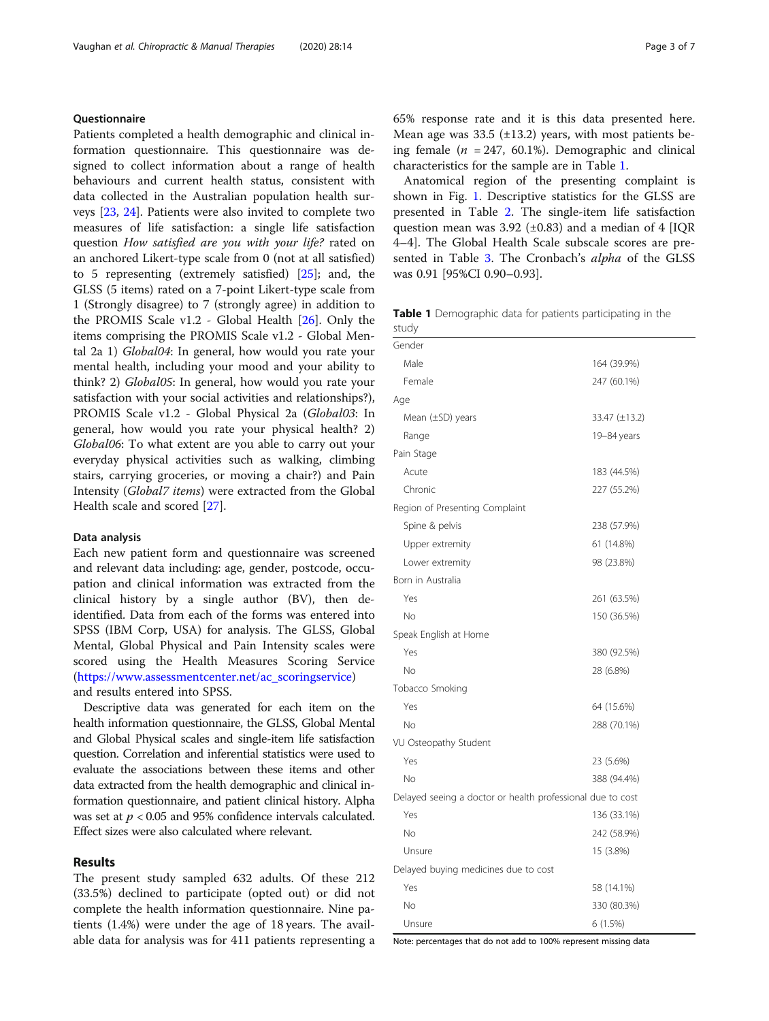#### **Ouestionnaire**

Patients completed a health demographic and clinical information questionnaire. This questionnaire was designed to collect information about a range of health behaviours and current health status, consistent with data collected in the Australian population health surveys [\[23](#page-6-0), [24](#page-6-0)]. Patients were also invited to complete two measures of life satisfaction: a single life satisfaction question How satisfied are you with your life? rated on an anchored Likert-type scale from 0 (not at all satisfied) to 5 representing (extremely satisfied) [\[25](#page-6-0)]; and, the GLSS (5 items) rated on a 7-point Likert-type scale from 1 (Strongly disagree) to 7 (strongly agree) in addition to the PROMIS Scale v1.2 - Global Health [\[26\]](#page-6-0). Only the items comprising the PROMIS Scale v1.2 - Global Mental 2a 1) Global04: In general, how would you rate your mental health, including your mood and your ability to think? 2) Global05: In general, how would you rate your satisfaction with your social activities and relationships?), PROMIS Scale v1.2 - Global Physical 2a (Global03: In general, how would you rate your physical health? 2) Global06: To what extent are you able to carry out your everyday physical activities such as walking, climbing stairs, carrying groceries, or moving a chair?) and Pain Intensity (Global7 items) were extracted from the Global Health scale and scored [\[27](#page-6-0)].

#### Data analysis

Each new patient form and questionnaire was screened and relevant data including: age, gender, postcode, occupation and clinical information was extracted from the clinical history by a single author (BV), then deidentified. Data from each of the forms was entered into SPSS (IBM Corp, USA) for analysis. The GLSS, Global Mental, Global Physical and Pain Intensity scales were scored using the Health Measures Scoring Service ([https://www.assessmentcenter.net/ac\\_scoringservice\)](https://www.assessmentcenter.net/ac_scoringservice) and results entered into SPSS.

Descriptive data was generated for each item on the health information questionnaire, the GLSS, Global Mental and Global Physical scales and single-item life satisfaction question. Correlation and inferential statistics were used to evaluate the associations between these items and other data extracted from the health demographic and clinical information questionnaire, and patient clinical history. Alpha was set at  $p < 0.05$  and 95% confidence intervals calculated. Effect sizes were also calculated where relevant.

#### Results

The present study sampled 632 adults. Of these 212 (33.5%) declined to participate (opted out) or did not complete the health information questionnaire. Nine patients (1.4%) were under the age of 18 years. The available data for analysis was for 411 patients representing a 65% response rate and it is this data presented here. Mean age was  $33.5$  ( $\pm$ 13.2) years, with most patients being female ( $n = 247, 60.1\%$ ). Demographic and clinical characteristics for the sample are in Table 1.

Anatomical region of the presenting complaint is shown in Fig. [1](#page-3-0). Descriptive statistics for the GLSS are presented in Table [2.](#page-3-0) The single-item life satisfaction question mean was 3.92 ( $\pm$ 0.83) and a median of 4 [IQR 4–4]. The Global Health Scale subscale scores are presented in Table [3](#page-4-0). The Cronbach's alpha of the GLSS was 0.91 [95%CI 0.90–0.93].

Table 1 Demographic data for patients participating in the study

| uuuy                                                       |               |  |  |
|------------------------------------------------------------|---------------|--|--|
| Gender                                                     |               |  |  |
| Male                                                       | 164 (39.9%)   |  |  |
| Female                                                     | 247 (60.1%)   |  |  |
| Age                                                        |               |  |  |
| Mean (±SD) years                                           | 33.47 (±13.2) |  |  |
| Range                                                      | 19-84 years   |  |  |
| Pain Stage                                                 |               |  |  |
| Acute                                                      | 183 (44.5%)   |  |  |
| Chronic                                                    | 227 (55.2%)   |  |  |
| Region of Presenting Complaint                             |               |  |  |
| Spine & pelvis                                             | 238 (57.9%)   |  |  |
| Upper extremity                                            | 61 (14.8%)    |  |  |
| Lower extremity                                            | 98 (23.8%)    |  |  |
| Born in Australia                                          |               |  |  |
| Yes                                                        | 261 (63.5%)   |  |  |
| No                                                         | 150 (36.5%)   |  |  |
| Speak English at Home                                      |               |  |  |
| Yes                                                        | 380 (92.5%)   |  |  |
| No                                                         | 28 (6.8%)     |  |  |
| Tobacco Smoking                                            |               |  |  |
| Yes                                                        | 64 (15.6%)    |  |  |
| No                                                         | 288 (70.1%)   |  |  |
| VU Osteopathy Student                                      |               |  |  |
| Yes                                                        | 23 (5.6%)     |  |  |
| Νo                                                         | 388 (94.4%)   |  |  |
| Delayed seeing a doctor or health professional due to cost |               |  |  |
| Yes                                                        | 136 (33.1%)   |  |  |
| No                                                         | 242 (58.9%)   |  |  |
| Unsure                                                     | 15 (3.8%)     |  |  |
| Delayed buying medicines due to cost                       |               |  |  |
| Yes                                                        | 58 (14.1%)    |  |  |
| No                                                         | 330 (80.3%)   |  |  |
| Unsure                                                     | 6 (1.5%)      |  |  |

Note: percentages that do not add to 100% represent missing data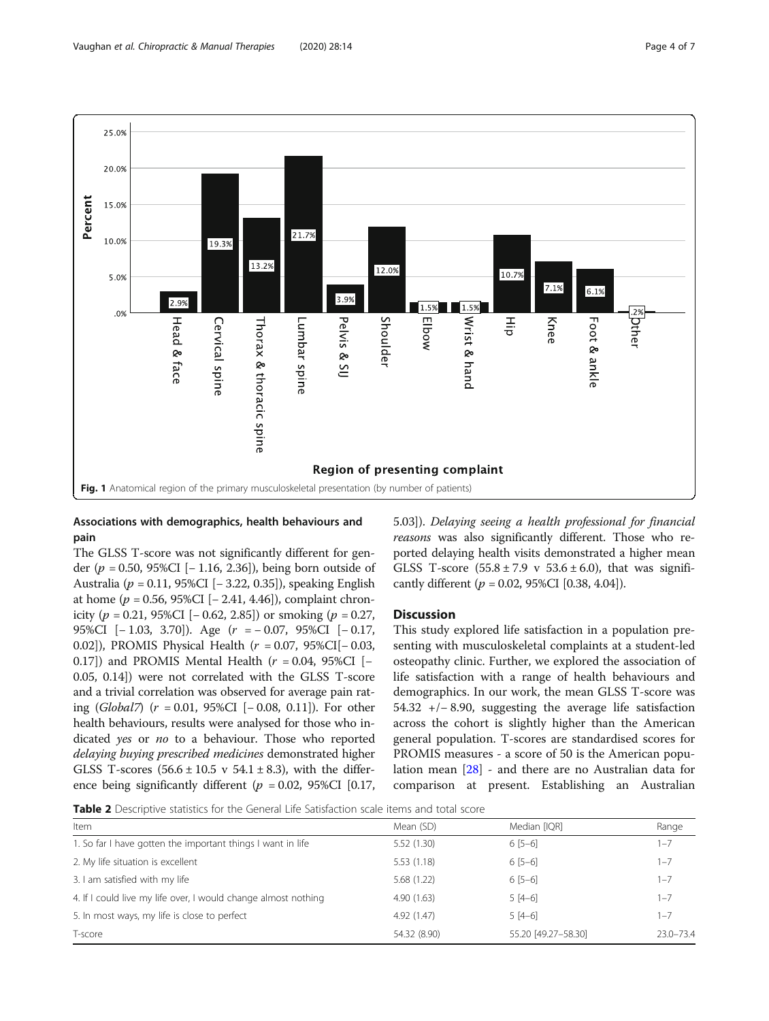<span id="page-3-0"></span>

#### Associations with demographics, health behaviours and pain

The GLSS T-score was not significantly different for gender (p = 0.50, 95%CI [- 1.16, 2.36]), being born outside of Australia (p = 0.11, 95%CI [− 3.22, 0.35]), speaking English at home ( $p = 0.56$ , 95%CI [−2.41, 4.46]), complaint chronicity (*p* = 0.21, 95%CI [− 0.62, 2.85]) or smoking (*p* = 0.27, 95%CI [− 1.03, 3.70]). Age (r = − 0.07, 95%CI [− 0.17, 0.02]), PROMIS Physical Health ( $r = 0.07$ , 95%CI[-0.03, 0.17]) and PROMIS Mental Health ( $r = 0.04$ , 95%CI [-0.05, 0.14]) were not correlated with the GLSS T-score and a trivial correlation was observed for average pain rating (*Global7*) ( $r = 0.01$ , 95%CI [−0.08, 0.11]). For other health behaviours, results were analysed for those who indicated yes or no to a behaviour. Those who reported delaying buying prescribed medicines demonstrated higher GLSS T-scores  $(56.6 \pm 10.5 \text{ v } 54.1 \pm 8.3)$ , with the difference being significantly different ( $p = 0.02$ , 95%CI [0.17, 5.03]). Delaying seeing a health professional for financial reasons was also significantly different. Those who reported delaying health visits demonstrated a higher mean GLSS T-score  $(55.8 \pm 7.9 \text{ v } 53.6 \pm 6.0)$ , that was significantly different ( $p = 0.02$ , 95%CI [0.38, 4.04]).

#### **Discussion**

This study explored life satisfaction in a population presenting with musculoskeletal complaints at a student-led osteopathy clinic. Further, we explored the association of life satisfaction with a range of health behaviours and demographics. In our work, the mean GLSS T-score was 54.32 +/− 8.90, suggesting the average life satisfaction across the cohort is slightly higher than the American general population. T-scores are standardised scores for PROMIS measures - a score of 50 is the American population mean [\[28\]](#page-6-0) - and there are no Australian data for comparison at present. Establishing an Australian

Table 2 Descriptive statistics for the General Life Satisfaction scale items and total score

| Item                                                           | Mean (SD)    | Median [IQR]        | Range         |
|----------------------------------------------------------------|--------------|---------------------|---------------|
| 1. So far I have gotten the important things I want in life    | 5.52(1.30)   | $6[5-6]$            | $1 - 7$       |
| 2. My life situation is excellent                              | 5.53(1.18)   | $6[5-6]$            | 1–7           |
| 3. I am satisfied with my life                                 | 5.68(1.22)   | $6[5-6]$            | 1–7           |
| 4. If I could live my life over, I would change almost nothing | 4.90(1.63)   | $5[4-6]$            | 1–7           |
| 5. In most ways, my life is close to perfect                   | 4.92(1.47)   | $5[4-6]$            | 1–7           |
| T-score                                                        | 54.32 (8.90) | 55.20 [49.27-58.30] | $23.0 - 73.4$ |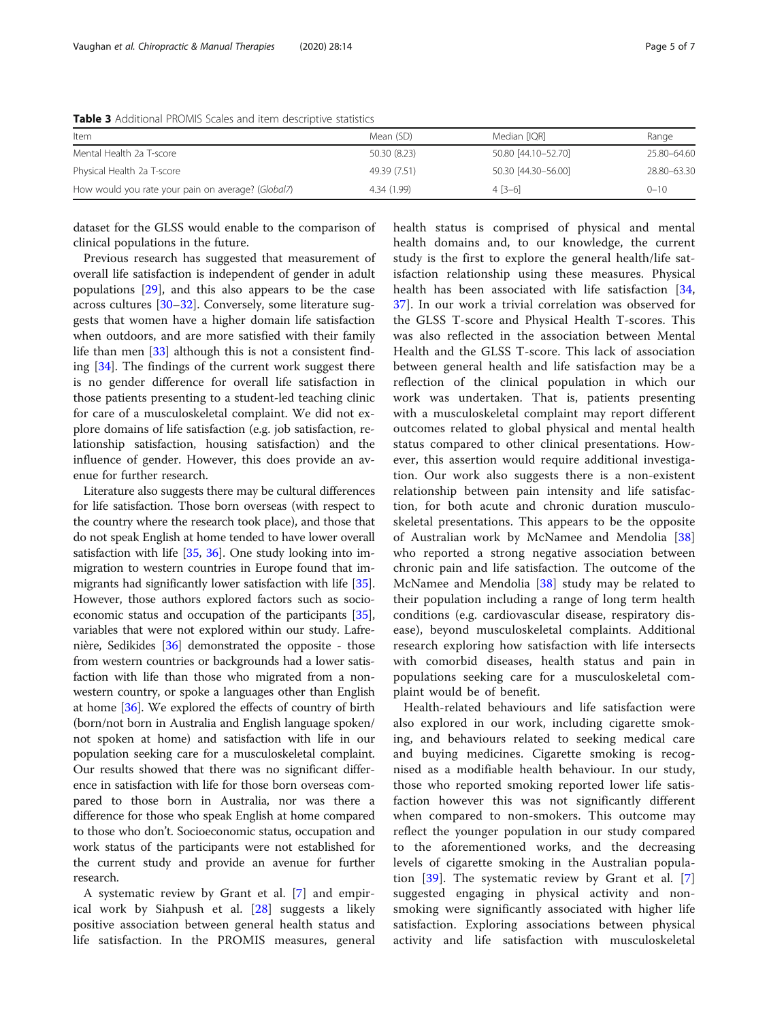| Item                                               | Mean (SD)    | Median [IQR]        | Range       |
|----------------------------------------------------|--------------|---------------------|-------------|
| Mental Health 2a T-score                           | 50.30 (8.23) | 50.80 [44.10-52.70] | 25.80-64.60 |
| Physical Health 2a T-score                         | 49.39 (7.51) | 50.30 [44.30-56.00] | 28.80-63.30 |
| How would you rate your pain on average? (Global7) | 4.34 (1.99)  | $4$ [3-6]           | $0 - 10$    |

<span id="page-4-0"></span>Table 3 Additional PROMIS Scales and item descriptive statistics

dataset for the GLSS would enable to the comparison of clinical populations in the future.

Previous research has suggested that measurement of overall life satisfaction is independent of gender in adult populations [[29](#page-6-0)], and this also appears to be the case across cultures [[30](#page-6-0)–[32](#page-6-0)]. Conversely, some literature suggests that women have a higher domain life satisfaction when outdoors, and are more satisfied with their family life than men [\[33](#page-6-0)] although this is not a consistent finding [\[34\]](#page-6-0). The findings of the current work suggest there is no gender difference for overall life satisfaction in those patients presenting to a student-led teaching clinic for care of a musculoskeletal complaint. We did not explore domains of life satisfaction (e.g. job satisfaction, relationship satisfaction, housing satisfaction) and the influence of gender. However, this does provide an avenue for further research.

Literature also suggests there may be cultural differences for life satisfaction. Those born overseas (with respect to the country where the research took place), and those that do not speak English at home tended to have lower overall satisfaction with life [\[35](#page-6-0), [36](#page-6-0)]. One study looking into immigration to western countries in Europe found that immigrants had significantly lower satisfaction with life [[35](#page-6-0)]. However, those authors explored factors such as socioeconomic status and occupation of the participants [[35](#page-6-0)], variables that were not explored within our study. Lafrenière, Sedikides [\[36\]](#page-6-0) demonstrated the opposite - those from western countries or backgrounds had a lower satisfaction with life than those who migrated from a nonwestern country, or spoke a languages other than English at home [\[36](#page-6-0)]. We explored the effects of country of birth (born/not born in Australia and English language spoken/ not spoken at home) and satisfaction with life in our population seeking care for a musculoskeletal complaint. Our results showed that there was no significant difference in satisfaction with life for those born overseas compared to those born in Australia, nor was there a difference for those who speak English at home compared to those who don't. Socioeconomic status, occupation and work status of the participants were not established for the current study and provide an avenue for further research.

A systematic review by Grant et al. [\[7](#page-6-0)] and empirical work by Siahpush et al. [[28\]](#page-6-0) suggests a likely positive association between general health status and life satisfaction. In the PROMIS measures, general health status is comprised of physical and mental health domains and, to our knowledge, the current study is the first to explore the general health/life satisfaction relationship using these measures. Physical health has been associated with life satisfaction [\[34](#page-6-0), [37\]](#page-6-0). In our work a trivial correlation was observed for the GLSS T-score and Physical Health T-scores. This was also reflected in the association between Mental Health and the GLSS T-score. This lack of association between general health and life satisfaction may be a reflection of the clinical population in which our work was undertaken. That is, patients presenting with a musculoskeletal complaint may report different outcomes related to global physical and mental health status compared to other clinical presentations. However, this assertion would require additional investigation. Our work also suggests there is a non-existent relationship between pain intensity and life satisfaction, for both acute and chronic duration musculoskeletal presentations. This appears to be the opposite of Australian work by McNamee and Mendolia [\[38](#page-6-0)] who reported a strong negative association between chronic pain and life satisfaction. The outcome of the McNamee and Mendolia [\[38](#page-6-0)] study may be related to their population including a range of long term health conditions (e.g. cardiovascular disease, respiratory disease), beyond musculoskeletal complaints. Additional research exploring how satisfaction with life intersects with comorbid diseases, health status and pain in populations seeking care for a musculoskeletal complaint would be of benefit.

Health-related behaviours and life satisfaction were also explored in our work, including cigarette smoking, and behaviours related to seeking medical care and buying medicines. Cigarette smoking is recognised as a modifiable health behaviour. In our study, those who reported smoking reported lower life satisfaction however this was not significantly different when compared to non-smokers. This outcome may reflect the younger population in our study compared to the aforementioned works, and the decreasing levels of cigarette smoking in the Australian population [[39](#page-6-0)]. The systematic review by Grant et al. [\[7](#page-6-0)] suggested engaging in physical activity and nonsmoking were significantly associated with higher life satisfaction. Exploring associations between physical activity and life satisfaction with musculoskeletal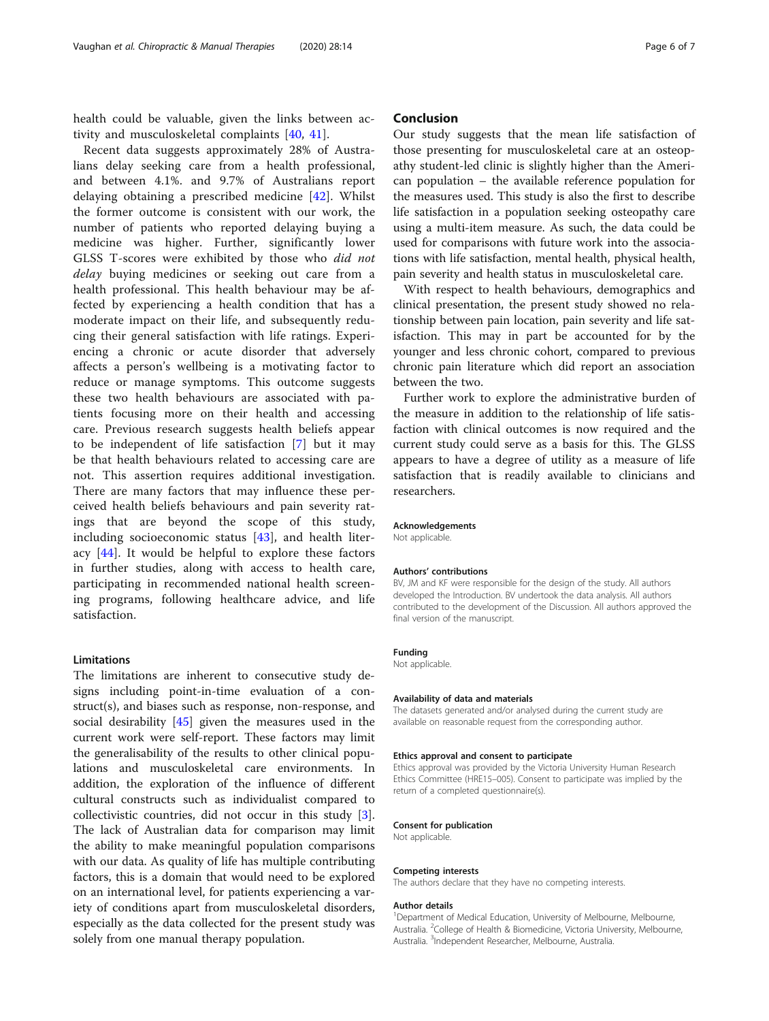health could be valuable, given the links between activity and musculoskeletal complaints [[40,](#page-6-0) [41\]](#page-6-0).

Recent data suggests approximately 28% of Australians delay seeking care from a health professional, and between 4.1%. and 9.7% of Australians report delaying obtaining a prescribed medicine [[42\]](#page-6-0). Whilst the former outcome is consistent with our work, the number of patients who reported delaying buying a medicine was higher. Further, significantly lower GLSS T-scores were exhibited by those who did not delay buying medicines or seeking out care from a health professional. This health behaviour may be affected by experiencing a health condition that has a moderate impact on their life, and subsequently reducing their general satisfaction with life ratings. Experiencing a chronic or acute disorder that adversely affects a person's wellbeing is a motivating factor to reduce or manage symptoms. This outcome suggests these two health behaviours are associated with patients focusing more on their health and accessing care. Previous research suggests health beliefs appear to be independent of life satisfaction [\[7](#page-6-0)] but it may be that health behaviours related to accessing care are not. This assertion requires additional investigation. There are many factors that may influence these perceived health beliefs behaviours and pain severity ratings that are beyond the scope of this study, including socioeconomic status [\[43](#page-6-0)], and health literacy [[44](#page-6-0)]. It would be helpful to explore these factors in further studies, along with access to health care, participating in recommended national health screening programs, following healthcare advice, and life satisfaction.

#### Limitations

The limitations are inherent to consecutive study designs including point-in-time evaluation of a construct(s), and biases such as response, non-response, and social desirability [[45](#page-6-0)] given the measures used in the current work were self-report. These factors may limit the generalisability of the results to other clinical populations and musculoskeletal care environments. In addition, the exploration of the influence of different cultural constructs such as individualist compared to collectivistic countries, did not occur in this study [\[3](#page-6-0)]. The lack of Australian data for comparison may limit the ability to make meaningful population comparisons with our data. As quality of life has multiple contributing factors, this is a domain that would need to be explored on an international level, for patients experiencing a variety of conditions apart from musculoskeletal disorders, especially as the data collected for the present study was solely from one manual therapy population.

#### Conclusion

Our study suggests that the mean life satisfaction of those presenting for musculoskeletal care at an osteopathy student-led clinic is slightly higher than the American population – the available reference population for the measures used. This study is also the first to describe life satisfaction in a population seeking osteopathy care using a multi-item measure. As such, the data could be used for comparisons with future work into the associations with life satisfaction, mental health, physical health, pain severity and health status in musculoskeletal care.

With respect to health behaviours, demographics and clinical presentation, the present study showed no relationship between pain location, pain severity and life satisfaction. This may in part be accounted for by the younger and less chronic cohort, compared to previous chronic pain literature which did report an association between the two.

Further work to explore the administrative burden of the measure in addition to the relationship of life satisfaction with clinical outcomes is now required and the current study could serve as a basis for this. The GLSS appears to have a degree of utility as a measure of life satisfaction that is readily available to clinicians and researchers.

#### Acknowledgements

Not applicable.

#### Authors' contributions

BV, JM and KF were responsible for the design of the study. All authors developed the Introduction. BV undertook the data analysis. All authors contributed to the development of the Discussion. All authors approved the final version of the manuscript.

#### Funding

Not applicable.

#### Availability of data and materials

The datasets generated and/or analysed during the current study are available on reasonable request from the corresponding author.

#### Ethics approval and consent to participate

Ethics approval was provided by the Victoria University Human Research Ethics Committee (HRE15–005). Consent to participate was implied by the return of a completed questionnaire(s).

#### Consent for publication

Not applicable.

#### Competing interests

The authors declare that they have no competing interests.

#### Author details

<sup>1</sup> Department of Medical Education, University of Melbourne, Melbourne, Australia. <sup>2</sup>College of Health & Biomedicine, Victoria University, Melbourne Australia. <sup>3</sup> Independent Researcher, Melbourne, Australia.